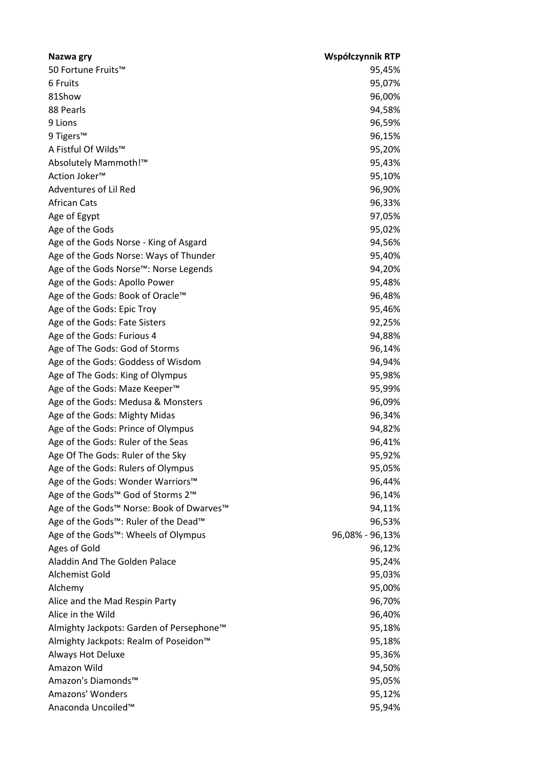| Nazwa gry                                     | Współczynnik RTP |
|-----------------------------------------------|------------------|
| 50 Fortune Fruits™                            | 95,45%           |
| 6 Fruits                                      | 95,07%           |
| 81Show                                        | 96,00%           |
| 88 Pearls                                     | 94,58%           |
| 9 Lions                                       | 96,59%           |
| 9 Tigers™                                     | 96,15%           |
| A Fistful Of Wilds™                           | 95,20%           |
| Absolutely Mammoth!™                          | 95,43%           |
| Action Joker <sup>™</sup>                     | 95,10%           |
| Adventures of Lil Red                         | 96,90%           |
| <b>African Cats</b>                           | 96,33%           |
| Age of Egypt                                  | 97,05%           |
| Age of the Gods                               | 95,02%           |
| Age of the Gods Norse - King of Asgard        | 94,56%           |
| Age of the Gods Norse: Ways of Thunder        | 95,40%           |
| Age of the Gods Norse™: Norse Legends         | 94,20%           |
| Age of the Gods: Apollo Power                 | 95,48%           |
| Age of the Gods: Book of Oracle™              | 96,48%           |
| Age of the Gods: Epic Troy                    | 95,46%           |
| Age of the Gods: Fate Sisters                 | 92,25%           |
| Age of the Gods: Furious 4                    | 94,88%           |
| Age of The Gods: God of Storms                | 96,14%           |
| Age of the Gods: Goddess of Wisdom            | 94,94%           |
| Age of The Gods: King of Olympus              | 95,98%           |
| Age of the Gods: Maze Keeper <sup>™</sup>     | 95,99%           |
| Age of the Gods: Medusa & Monsters            | 96,09%           |
| Age of the Gods: Mighty Midas                 | 96,34%           |
| Age of the Gods: Prince of Olympus            | 94,82%           |
| Age of the Gods: Ruler of the Seas            | 96,41%           |
| Age Of The Gods: Ruler of the Sky             | 95,92%           |
| Age of the Gods: Rulers of Olympus            | 95,05%           |
| Age of the Gods: Wonder Warriors™             | 96,44%           |
| Age of the Gods™ God of Storms 2 <sup>™</sup> | 96,14%           |
| Age of the Gods™ Norse: Book of Dwarves™      | 94,11%           |
| Age of the Gods™: Ruler of the Dead™          | 96,53%           |
| Age of the Gods™: Wheels of Olympus           | 96,08% - 96,13%  |
| Ages of Gold                                  | 96,12%           |
| Aladdin And The Golden Palace                 | 95,24%           |
| Alchemist Gold                                | 95,03%           |
| Alchemy                                       | 95,00%           |
| Alice and the Mad Respin Party                | 96,70%           |
| Alice in the Wild                             | 96,40%           |
| Almighty Jackpots: Garden of Persephone™      | 95,18%           |
| Almighty Jackpots: Realm of Poseidon™         | 95,18%           |
| <b>Always Hot Deluxe</b>                      | 95,36%           |
| Amazon Wild                                   | 94,50%           |
| Amazon's Diamonds™                            | 95,05%           |
| Amazons' Wonders                              | 95,12%           |
| Anaconda Uncoiled™                            | 95,94%           |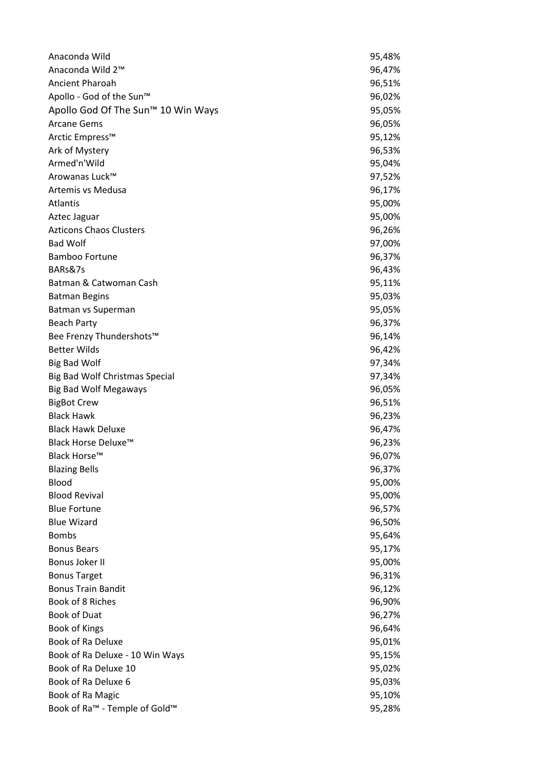| Anaconda Wild                                         | 95,48% |
|-------------------------------------------------------|--------|
| Anaconda Wild 2 <sup>™</sup>                          | 96,47% |
| Ancient Pharoah                                       | 96,51% |
| Apollo - God of the Sun™                              | 96,02% |
| Apollo God Of The Sun <sup>™</sup> 10 Win Ways        | 95,05% |
| <b>Arcane Gems</b>                                    | 96,05% |
| Arctic Empress™                                       | 95,12% |
| Ark of Mystery                                        | 96,53% |
| Armed'n'Wild                                          | 95,04% |
| Arowanas Luck™                                        | 97,52% |
| Artemis vs Medusa                                     | 96,17% |
| Atlantis                                              | 95,00% |
| Aztec Jaguar                                          | 95,00% |
| <b>Azticons Chaos Clusters</b>                        | 96,26% |
| <b>Bad Wolf</b>                                       | 97,00% |
| <b>Bamboo Fortune</b>                                 | 96,37% |
| BARs&7s                                               | 96,43% |
| Batman & Catwoman Cash                                | 95,11% |
| <b>Batman Begins</b>                                  | 95,03% |
| Batman vs Superman                                    | 95,05% |
| <b>Beach Party</b>                                    | 96,37% |
| Bee Frenzy Thundershots™                              | 96,14% |
| <b>Better Wilds</b>                                   | 96,42% |
| <b>Big Bad Wolf</b>                                   | 97,34% |
| Big Bad Wolf Christmas Special                        | 97,34% |
| <b>Big Bad Wolf Megaways</b>                          | 96,05% |
| <b>BigBot Crew</b>                                    | 96,51% |
| <b>Black Hawk</b>                                     | 96,23% |
| <b>Black Hawk Deluxe</b>                              | 96,47% |
| Black Horse Deluxe™                                   | 96,23% |
| Black Horse™                                          | 96,07% |
| <b>Blazing Bells</b>                                  | 96,37% |
| Blood                                                 | 95,00% |
| <b>Blood Revival</b>                                  | 95,00% |
| <b>Blue Fortune</b>                                   | 96,57% |
| <b>Blue Wizard</b>                                    | 96,50% |
| <b>Bombs</b>                                          | 95,64% |
| <b>Bonus Bears</b>                                    | 95,17% |
| Bonus Joker II                                        | 95,00% |
| <b>Bonus Target</b>                                   | 96,31% |
| <b>Bonus Train Bandit</b>                             | 96,12% |
| Book of 8 Riches                                      | 96,90% |
| <b>Book of Duat</b>                                   | 96,27% |
| Book of Kings                                         | 96,64% |
| Book of Ra Deluxe                                     | 95,01% |
| Book of Ra Deluxe - 10 Win Ways                       | 95,15% |
| Book of Ra Deluxe 10                                  | 95,02% |
| Book of Ra Deluxe 6                                   | 95,03% |
| Book of Ra Magic                                      | 95,10% |
| Book of Ra <sup>™</sup> - Temple of Gold <sup>™</sup> | 95,28% |
|                                                       |        |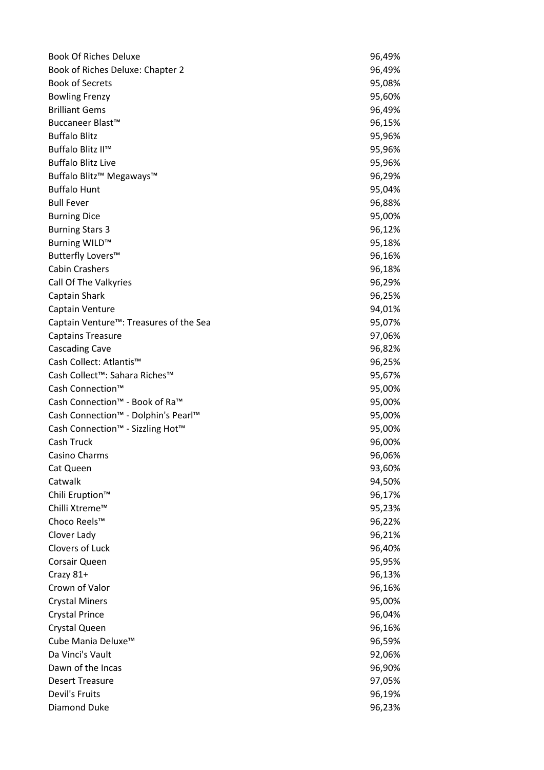| Book of Riches Deluxe: Chapter 2<br>96,49%<br><b>Book of Secrets</b><br>95,08%<br><b>Bowling Frenzy</b><br>95,60%<br>96,49%<br>96,15%<br>95,96%<br>Buffalo Blitz II™<br>95,96%<br>95,96%<br>Buffalo Blitz <sup>™</sup> Megaways™<br>96,29%<br>95,04%<br>96,88%<br>95,00%<br><b>Burning Dice</b><br>96,12%<br>Burning WILD™<br>95,18%<br>Butterfly Lovers™<br>96,16%<br>96,18%<br>Call Of The Valkyries<br>96,29%<br>Captain Shark<br>96,25%<br>Captain Venture<br>94,01%<br>Captain Venture <sup>™</sup> : Treasures of the Sea<br>95,07%<br><b>Captains Treasure</b><br>97,06%<br><b>Cascading Cave</b><br>96,82%<br>Cash Collect: Atlantis™<br>96,25%<br>Cash Collect™: Sahara Riches™<br>95,67%<br>Cash Connection™<br>95,00%<br>Cash Connection™ - Book of Ra™<br>95,00%<br>Cash Connection™ - Dolphin's Pearl™<br>95,00%<br>Cash Connection™ - Sizzling Hot™<br>95,00%<br>Cash Truck<br>96,00%<br>Casino Charms<br>96,06%<br>93,60%<br>Cat Queen<br>Catwalk<br>94,50%<br>Chili Eruption <sup>™</sup><br>96,17%<br>Chilli Xtreme™<br>95,23%<br>Choco Reels™<br>96,22%<br>Clover Lady<br>96,21%<br>Clovers of Luck<br>96,40%<br>Corsair Queen<br>95,95%<br>Crazy 81+<br>96,13%<br>Crown of Valor<br>96,16%<br><b>Crystal Miners</b><br>95,00%<br><b>Crystal Prince</b><br>96,04%<br>96,16%<br>Crystal Queen<br>Cube Mania Deluxe <sup>™</sup><br>96,59%<br>Da Vinci's Vault<br>92,06%<br>Dawn of the Incas<br>96,90%<br><b>Desert Treasure</b><br>97,05%<br>Devil's Fruits<br>96,19% | <b>Book Of Riches Deluxe</b> | 96,49% |
|-----------------------------------------------------------------------------------------------------------------------------------------------------------------------------------------------------------------------------------------------------------------------------------------------------------------------------------------------------------------------------------------------------------------------------------------------------------------------------------------------------------------------------------------------------------------------------------------------------------------------------------------------------------------------------------------------------------------------------------------------------------------------------------------------------------------------------------------------------------------------------------------------------------------------------------------------------------------------------------------------------------------------------------------------------------------------------------------------------------------------------------------------------------------------------------------------------------------------------------------------------------------------------------------------------------------------------------------------------------------------------------------------------------------------------------------------------------------------------------------|------------------------------|--------|
|                                                                                                                                                                                                                                                                                                                                                                                                                                                                                                                                                                                                                                                                                                                                                                                                                                                                                                                                                                                                                                                                                                                                                                                                                                                                                                                                                                                                                                                                                         |                              |        |
|                                                                                                                                                                                                                                                                                                                                                                                                                                                                                                                                                                                                                                                                                                                                                                                                                                                                                                                                                                                                                                                                                                                                                                                                                                                                                                                                                                                                                                                                                         |                              |        |
|                                                                                                                                                                                                                                                                                                                                                                                                                                                                                                                                                                                                                                                                                                                                                                                                                                                                                                                                                                                                                                                                                                                                                                                                                                                                                                                                                                                                                                                                                         |                              |        |
|                                                                                                                                                                                                                                                                                                                                                                                                                                                                                                                                                                                                                                                                                                                                                                                                                                                                                                                                                                                                                                                                                                                                                                                                                                                                                                                                                                                                                                                                                         | <b>Brilliant Gems</b>        |        |
|                                                                                                                                                                                                                                                                                                                                                                                                                                                                                                                                                                                                                                                                                                                                                                                                                                                                                                                                                                                                                                                                                                                                                                                                                                                                                                                                                                                                                                                                                         | Buccaneer Blast™             |        |
|                                                                                                                                                                                                                                                                                                                                                                                                                                                                                                                                                                                                                                                                                                                                                                                                                                                                                                                                                                                                                                                                                                                                                                                                                                                                                                                                                                                                                                                                                         | <b>Buffalo Blitz</b>         |        |
|                                                                                                                                                                                                                                                                                                                                                                                                                                                                                                                                                                                                                                                                                                                                                                                                                                                                                                                                                                                                                                                                                                                                                                                                                                                                                                                                                                                                                                                                                         |                              |        |
|                                                                                                                                                                                                                                                                                                                                                                                                                                                                                                                                                                                                                                                                                                                                                                                                                                                                                                                                                                                                                                                                                                                                                                                                                                                                                                                                                                                                                                                                                         | <b>Buffalo Blitz Live</b>    |        |
|                                                                                                                                                                                                                                                                                                                                                                                                                                                                                                                                                                                                                                                                                                                                                                                                                                                                                                                                                                                                                                                                                                                                                                                                                                                                                                                                                                                                                                                                                         |                              |        |
|                                                                                                                                                                                                                                                                                                                                                                                                                                                                                                                                                                                                                                                                                                                                                                                                                                                                                                                                                                                                                                                                                                                                                                                                                                                                                                                                                                                                                                                                                         | <b>Buffalo Hunt</b>          |        |
|                                                                                                                                                                                                                                                                                                                                                                                                                                                                                                                                                                                                                                                                                                                                                                                                                                                                                                                                                                                                                                                                                                                                                                                                                                                                                                                                                                                                                                                                                         | <b>Bull Fever</b>            |        |
|                                                                                                                                                                                                                                                                                                                                                                                                                                                                                                                                                                                                                                                                                                                                                                                                                                                                                                                                                                                                                                                                                                                                                                                                                                                                                                                                                                                                                                                                                         |                              |        |
|                                                                                                                                                                                                                                                                                                                                                                                                                                                                                                                                                                                                                                                                                                                                                                                                                                                                                                                                                                                                                                                                                                                                                                                                                                                                                                                                                                                                                                                                                         | <b>Burning Stars 3</b>       |        |
|                                                                                                                                                                                                                                                                                                                                                                                                                                                                                                                                                                                                                                                                                                                                                                                                                                                                                                                                                                                                                                                                                                                                                                                                                                                                                                                                                                                                                                                                                         |                              |        |
|                                                                                                                                                                                                                                                                                                                                                                                                                                                                                                                                                                                                                                                                                                                                                                                                                                                                                                                                                                                                                                                                                                                                                                                                                                                                                                                                                                                                                                                                                         |                              |        |
|                                                                                                                                                                                                                                                                                                                                                                                                                                                                                                                                                                                                                                                                                                                                                                                                                                                                                                                                                                                                                                                                                                                                                                                                                                                                                                                                                                                                                                                                                         | <b>Cabin Crashers</b>        |        |
|                                                                                                                                                                                                                                                                                                                                                                                                                                                                                                                                                                                                                                                                                                                                                                                                                                                                                                                                                                                                                                                                                                                                                                                                                                                                                                                                                                                                                                                                                         |                              |        |
|                                                                                                                                                                                                                                                                                                                                                                                                                                                                                                                                                                                                                                                                                                                                                                                                                                                                                                                                                                                                                                                                                                                                                                                                                                                                                                                                                                                                                                                                                         |                              |        |
|                                                                                                                                                                                                                                                                                                                                                                                                                                                                                                                                                                                                                                                                                                                                                                                                                                                                                                                                                                                                                                                                                                                                                                                                                                                                                                                                                                                                                                                                                         |                              |        |
|                                                                                                                                                                                                                                                                                                                                                                                                                                                                                                                                                                                                                                                                                                                                                                                                                                                                                                                                                                                                                                                                                                                                                                                                                                                                                                                                                                                                                                                                                         |                              |        |
|                                                                                                                                                                                                                                                                                                                                                                                                                                                                                                                                                                                                                                                                                                                                                                                                                                                                                                                                                                                                                                                                                                                                                                                                                                                                                                                                                                                                                                                                                         |                              |        |
|                                                                                                                                                                                                                                                                                                                                                                                                                                                                                                                                                                                                                                                                                                                                                                                                                                                                                                                                                                                                                                                                                                                                                                                                                                                                                                                                                                                                                                                                                         |                              |        |
|                                                                                                                                                                                                                                                                                                                                                                                                                                                                                                                                                                                                                                                                                                                                                                                                                                                                                                                                                                                                                                                                                                                                                                                                                                                                                                                                                                                                                                                                                         |                              |        |
|                                                                                                                                                                                                                                                                                                                                                                                                                                                                                                                                                                                                                                                                                                                                                                                                                                                                                                                                                                                                                                                                                                                                                                                                                                                                                                                                                                                                                                                                                         |                              |        |
|                                                                                                                                                                                                                                                                                                                                                                                                                                                                                                                                                                                                                                                                                                                                                                                                                                                                                                                                                                                                                                                                                                                                                                                                                                                                                                                                                                                                                                                                                         |                              |        |
|                                                                                                                                                                                                                                                                                                                                                                                                                                                                                                                                                                                                                                                                                                                                                                                                                                                                                                                                                                                                                                                                                                                                                                                                                                                                                                                                                                                                                                                                                         |                              |        |
|                                                                                                                                                                                                                                                                                                                                                                                                                                                                                                                                                                                                                                                                                                                                                                                                                                                                                                                                                                                                                                                                                                                                                                                                                                                                                                                                                                                                                                                                                         |                              |        |
|                                                                                                                                                                                                                                                                                                                                                                                                                                                                                                                                                                                                                                                                                                                                                                                                                                                                                                                                                                                                                                                                                                                                                                                                                                                                                                                                                                                                                                                                                         |                              |        |
|                                                                                                                                                                                                                                                                                                                                                                                                                                                                                                                                                                                                                                                                                                                                                                                                                                                                                                                                                                                                                                                                                                                                                                                                                                                                                                                                                                                                                                                                                         |                              |        |
|                                                                                                                                                                                                                                                                                                                                                                                                                                                                                                                                                                                                                                                                                                                                                                                                                                                                                                                                                                                                                                                                                                                                                                                                                                                                                                                                                                                                                                                                                         |                              |        |
|                                                                                                                                                                                                                                                                                                                                                                                                                                                                                                                                                                                                                                                                                                                                                                                                                                                                                                                                                                                                                                                                                                                                                                                                                                                                                                                                                                                                                                                                                         |                              |        |
|                                                                                                                                                                                                                                                                                                                                                                                                                                                                                                                                                                                                                                                                                                                                                                                                                                                                                                                                                                                                                                                                                                                                                                                                                                                                                                                                                                                                                                                                                         |                              |        |
|                                                                                                                                                                                                                                                                                                                                                                                                                                                                                                                                                                                                                                                                                                                                                                                                                                                                                                                                                                                                                                                                                                                                                                                                                                                                                                                                                                                                                                                                                         |                              |        |
|                                                                                                                                                                                                                                                                                                                                                                                                                                                                                                                                                                                                                                                                                                                                                                                                                                                                                                                                                                                                                                                                                                                                                                                                                                                                                                                                                                                                                                                                                         |                              |        |
|                                                                                                                                                                                                                                                                                                                                                                                                                                                                                                                                                                                                                                                                                                                                                                                                                                                                                                                                                                                                                                                                                                                                                                                                                                                                                                                                                                                                                                                                                         |                              |        |
|                                                                                                                                                                                                                                                                                                                                                                                                                                                                                                                                                                                                                                                                                                                                                                                                                                                                                                                                                                                                                                                                                                                                                                                                                                                                                                                                                                                                                                                                                         |                              |        |
|                                                                                                                                                                                                                                                                                                                                                                                                                                                                                                                                                                                                                                                                                                                                                                                                                                                                                                                                                                                                                                                                                                                                                                                                                                                                                                                                                                                                                                                                                         |                              |        |
|                                                                                                                                                                                                                                                                                                                                                                                                                                                                                                                                                                                                                                                                                                                                                                                                                                                                                                                                                                                                                                                                                                                                                                                                                                                                                                                                                                                                                                                                                         |                              |        |
|                                                                                                                                                                                                                                                                                                                                                                                                                                                                                                                                                                                                                                                                                                                                                                                                                                                                                                                                                                                                                                                                                                                                                                                                                                                                                                                                                                                                                                                                                         |                              |        |
|                                                                                                                                                                                                                                                                                                                                                                                                                                                                                                                                                                                                                                                                                                                                                                                                                                                                                                                                                                                                                                                                                                                                                                                                                                                                                                                                                                                                                                                                                         |                              |        |
|                                                                                                                                                                                                                                                                                                                                                                                                                                                                                                                                                                                                                                                                                                                                                                                                                                                                                                                                                                                                                                                                                                                                                                                                                                                                                                                                                                                                                                                                                         |                              |        |
|                                                                                                                                                                                                                                                                                                                                                                                                                                                                                                                                                                                                                                                                                                                                                                                                                                                                                                                                                                                                                                                                                                                                                                                                                                                                                                                                                                                                                                                                                         |                              |        |
|                                                                                                                                                                                                                                                                                                                                                                                                                                                                                                                                                                                                                                                                                                                                                                                                                                                                                                                                                                                                                                                                                                                                                                                                                                                                                                                                                                                                                                                                                         |                              |        |
|                                                                                                                                                                                                                                                                                                                                                                                                                                                                                                                                                                                                                                                                                                                                                                                                                                                                                                                                                                                                                                                                                                                                                                                                                                                                                                                                                                                                                                                                                         |                              |        |
|                                                                                                                                                                                                                                                                                                                                                                                                                                                                                                                                                                                                                                                                                                                                                                                                                                                                                                                                                                                                                                                                                                                                                                                                                                                                                                                                                                                                                                                                                         |                              |        |
|                                                                                                                                                                                                                                                                                                                                                                                                                                                                                                                                                                                                                                                                                                                                                                                                                                                                                                                                                                                                                                                                                                                                                                                                                                                                                                                                                                                                                                                                                         |                              |        |
|                                                                                                                                                                                                                                                                                                                                                                                                                                                                                                                                                                                                                                                                                                                                                                                                                                                                                                                                                                                                                                                                                                                                                                                                                                                                                                                                                                                                                                                                                         |                              |        |
|                                                                                                                                                                                                                                                                                                                                                                                                                                                                                                                                                                                                                                                                                                                                                                                                                                                                                                                                                                                                                                                                                                                                                                                                                                                                                                                                                                                                                                                                                         |                              |        |
|                                                                                                                                                                                                                                                                                                                                                                                                                                                                                                                                                                                                                                                                                                                                                                                                                                                                                                                                                                                                                                                                                                                                                                                                                                                                                                                                                                                                                                                                                         | Diamond Duke                 | 96,23% |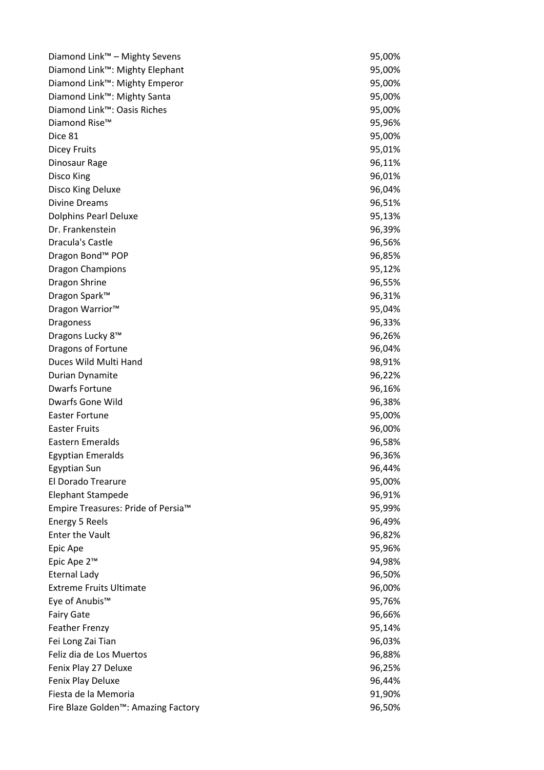| Diamond Link™ - Mighty Sevens                    | 95,00% |
|--------------------------------------------------|--------|
| Diamond Link™: Mighty Elephant                   | 95,00% |
| Diamond Link™: Mighty Emperor                    | 95,00% |
| Diamond Link™: Mighty Santa                      | 95,00% |
| Diamond Link™: Oasis Riches                      | 95,00% |
| Diamond Rise™                                    | 95,96% |
| Dice 81                                          | 95,00% |
| <b>Dicey Fruits</b>                              | 95,01% |
| Dinosaur Rage                                    | 96,11% |
| Disco King                                       | 96,01% |
| Disco King Deluxe                                | 96,04% |
| <b>Divine Dreams</b>                             | 96,51% |
| <b>Dolphins Pearl Deluxe</b>                     | 95,13% |
| Dr. Frankenstein                                 | 96,39% |
| <b>Dracula's Castle</b>                          | 96,56% |
| Dragon Bond <sup>™</sup> POP                     | 96,85% |
| <b>Dragon Champions</b>                          | 95,12% |
| Dragon Shrine                                    | 96,55% |
| Dragon Spark™                                    | 96,31% |
| Dragon Warrior <sup>™</sup>                      | 95,04% |
| <b>Dragoness</b>                                 | 96,33% |
| Dragons Lucky 8™                                 | 96,26% |
| Dragons of Fortune                               | 96,04% |
| Duces Wild Multi Hand                            | 98,91% |
| Durian Dynamite                                  | 96,22% |
| <b>Dwarfs Fortune</b>                            | 96,16% |
| Dwarfs Gone Wild                                 | 96,38% |
| <b>Easter Fortune</b>                            | 95,00% |
| <b>Easter Fruits</b>                             | 96,00% |
| Eastern Emeralds                                 | 96,58% |
| <b>Egyptian Emeralds</b>                         | 96,36% |
| <b>Egyptian Sun</b>                              | 96,44% |
| El Dorado Trearure                               | 95,00% |
| <b>Elephant Stampede</b>                         | 96,91% |
| Empire Treasures: Pride of Persia™               | 95,99% |
| Energy 5 Reels                                   | 96,49% |
| <b>Enter the Vault</b>                           | 96,82% |
| Epic Ape                                         | 95,96% |
| Epic Ape 2™                                      | 94,98% |
| <b>Eternal Lady</b>                              | 96,50% |
| <b>Extreme Fruits Ultimate</b>                   | 96,00% |
| Eye of Anubis™                                   | 95,76% |
| <b>Fairy Gate</b>                                | 96,66% |
| <b>Feather Frenzy</b>                            | 95,14% |
| Fei Long Zai Tian                                | 96,03% |
| Feliz dia de Los Muertos                         | 96,88% |
| Fenix Play 27 Deluxe                             | 96,25% |
| Fenix Play Deluxe                                | 96,44% |
| Fiesta de la Memoria                             | 91,90% |
| Fire Blaze Golden <sup>™</sup> : Amazing Factory | 96,50% |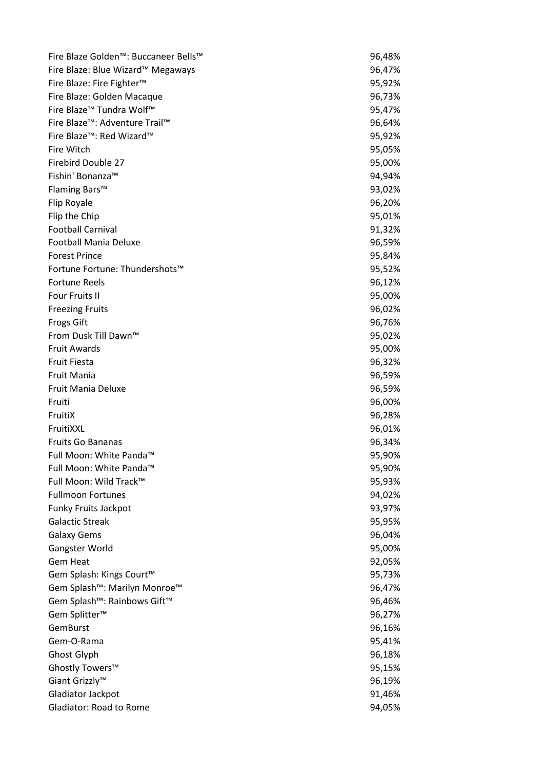| Fire Blaze Golden™: Buccaneer Bells™                 | 96,48% |
|------------------------------------------------------|--------|
| Fire Blaze: Blue Wizard™ Megaways                    | 96,47% |
| Fire Blaze: Fire Fighter <sup>™</sup>                | 95,92% |
| Fire Blaze: Golden Macaque                           | 96,73% |
| Fire Blaze <sup>™</sup> Tundra Wolf™                 | 95,47% |
| Fire Blaze™: Adventure Trail™                        | 96,64% |
| Fire Blaze™: Red Wizard™                             | 95,92% |
| Fire Witch                                           | 95,05% |
| <b>Firebird Double 27</b>                            | 95,00% |
| Fishin' Bonanza™                                     | 94,94% |
| Flaming Bars™                                        | 93,02% |
| Flip Royale                                          | 96,20% |
| Flip the Chip                                        | 95,01% |
| <b>Football Carnival</b>                             | 91,32% |
| <b>Football Mania Deluxe</b>                         | 96,59% |
| <b>Forest Prince</b>                                 | 95,84% |
| Fortune Fortune: Thundershots™                       | 95,52% |
| <b>Fortune Reels</b>                                 | 96,12% |
| <b>Four Fruits II</b>                                | 95,00% |
| <b>Freezing Fruits</b>                               | 96,02% |
| <b>Frogs Gift</b>                                    | 96,76% |
| From Dusk Till Dawn™                                 | 95,02% |
| <b>Fruit Awards</b>                                  | 95,00% |
| <b>Fruit Fiesta</b>                                  | 96,32% |
| <b>Fruit Mania</b>                                   | 96,59% |
| Fruit Mania Deluxe                                   | 96,59% |
| Fruiti                                               | 96,00% |
| FruitiX                                              | 96,28% |
| FruitiXXL                                            | 96,01% |
| <b>Fruits Go Bananas</b>                             | 96,34% |
| Full Moon: White Panda™                              | 95,90% |
| Full Moon: White Panda™                              | 95,90% |
| Full Moon: Wild Track™                               | 95,93% |
| <b>Fullmoon Fortunes</b>                             | 94,02% |
| Funky Fruits Jackpot                                 | 93,97% |
| <b>Galactic Streak</b>                               | 95,95% |
| <b>Galaxy Gems</b>                                   | 96,04% |
| Gangster World                                       | 95,00% |
| <b>Gem Heat</b>                                      | 92,05% |
| Gem Splash: Kings Court™                             | 95,73% |
| Gem Splash™: Marilyn Monroe™                         | 96,47% |
| Gem Splash <sup>™</sup> : Rainbows Gift <sup>™</sup> | 96,46% |
| Gem Splitter <sup>™</sup>                            | 96,27% |
| GemBurst                                             | 96,16% |
| Gem-O-Rama                                           | 95,41% |
| Ghost Glyph                                          | 96,18% |
| Ghostly Towers™                                      | 95,15% |
| Giant Grizzly™                                       | 96,19% |
| Gladiator Jackpot                                    | 91,46% |
| Gladiator: Road to Rome                              | 94,05% |
|                                                      |        |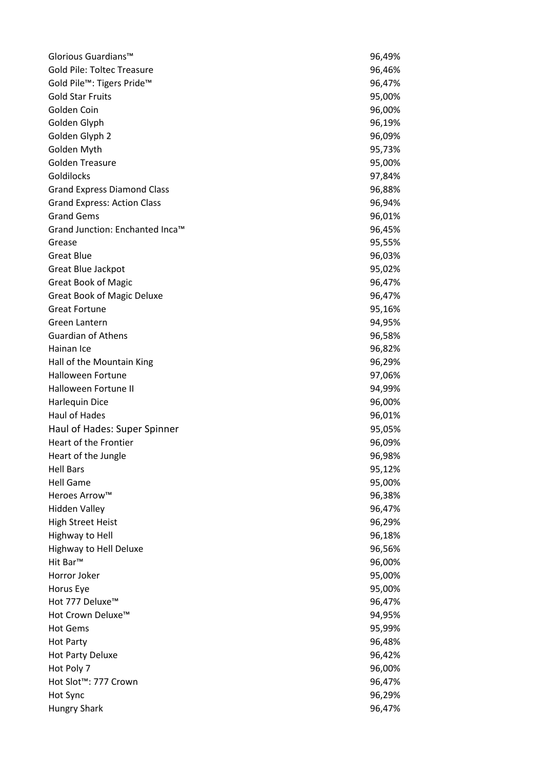| Glorious Guardians™                | 96,49% |
|------------------------------------|--------|
| <b>Gold Pile: Toltec Treasure</b>  | 96,46% |
| Gold Pile™: Tigers Pride™          | 96,47% |
| <b>Gold Star Fruits</b>            | 95,00% |
| Golden Coin                        | 96,00% |
| Golden Glyph                       | 96,19% |
| Golden Glyph 2                     | 96,09% |
| Golden Myth                        | 95,73% |
| <b>Golden Treasure</b>             | 95,00% |
| Goldilocks                         | 97,84% |
| <b>Grand Express Diamond Class</b> | 96,88% |
| <b>Grand Express: Action Class</b> | 96,94% |
| <b>Grand Gems</b>                  | 96,01% |
| Grand Junction: Enchanted Inca™    | 96,45% |
| Grease                             | 95,55% |
| <b>Great Blue</b>                  | 96,03% |
| Great Blue Jackpot                 | 95,02% |
| <b>Great Book of Magic</b>         | 96,47% |
| <b>Great Book of Magic Deluxe</b>  | 96,47% |
| <b>Great Fortune</b>               | 95,16% |
| Green Lantern                      | 94,95% |
| Guardian of Athens                 | 96,58% |
| Hainan Ice                         | 96,82% |
| Hall of the Mountain King          | 96,29% |
| <b>Halloween Fortune</b>           | 97,06% |
| Halloween Fortune II               | 94,99% |
| Harlequin Dice                     | 96,00% |
| Haul of Hades                      | 96,01% |
| Haul of Hades: Super Spinner       | 95,05% |
| Heart of the Frontier              | 96,09% |
| Heart of the Jungle                | 96,98% |
| <b>Hell Bars</b>                   | 95,12% |
| <b>Hell Game</b>                   | 95,00% |
| Heroes Arrow™                      | 96,38% |
| <b>Hidden Valley</b>               | 96,47% |
| <b>High Street Heist</b>           | 96,29% |
| Highway to Hell                    | 96,18% |
| Highway to Hell Deluxe             | 96,56% |
| Hit Bar™                           | 96,00% |
| Horror Joker                       | 95,00% |
| Horus Eye                          | 95,00% |
| Hot 777 Deluxe <sup>™</sup>        | 96,47% |
| Hot Crown Deluxe™                  | 94,95% |
| <b>Hot Gems</b>                    | 95,99% |
| <b>Hot Party</b>                   | 96,48% |
| <b>Hot Party Deluxe</b>            | 96,42% |
| Hot Poly 7                         | 96,00% |
| Hot Slot <sup>™</sup> : 777 Crown  | 96,47% |
| Hot Sync                           | 96,29% |
| <b>Hungry Shark</b>                | 96,47% |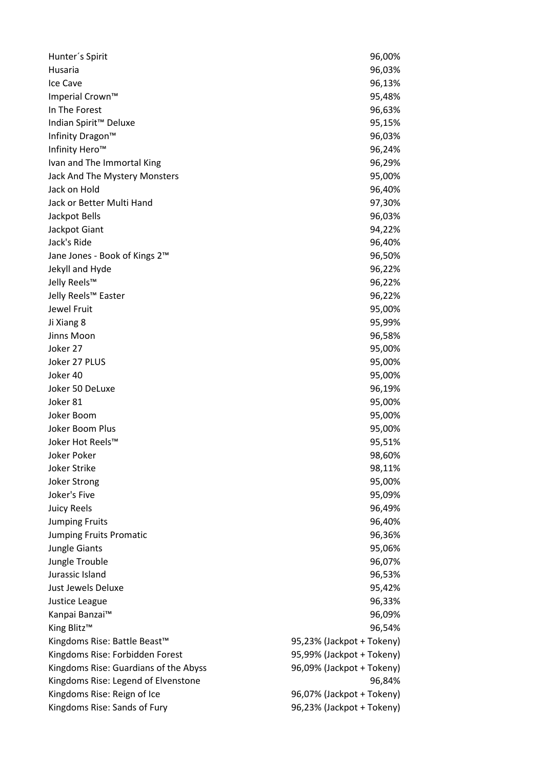| Hunter's Spirit                           | 96,00%                    |
|-------------------------------------------|---------------------------|
| Husaria                                   | 96,03%                    |
| Ice Cave                                  | 96,13%                    |
| Imperial Crown™                           | 95,48%                    |
| In The Forest                             | 96,63%                    |
| Indian Spirit <sup>™</sup> Deluxe         | 95,15%                    |
| Infinity Dragon™                          | 96,03%                    |
| Infinity Hero™                            | 96,24%                    |
| Ivan and The Immortal King                | 96,29%                    |
| Jack And The Mystery Monsters             | 95,00%                    |
| Jack on Hold                              | 96,40%                    |
| Jack or Better Multi Hand                 | 97,30%                    |
| Jackpot Bells                             | 96,03%                    |
| Jackpot Giant                             | 94,22%                    |
| Jack's Ride                               | 96,40%                    |
| Jane Jones - Book of Kings 2 <sup>™</sup> | 96,50%                    |
| Jekyll and Hyde                           | 96,22%                    |
| Jelly Reels™                              | 96,22%                    |
| Jelly Reels™ Easter                       | 96,22%                    |
| Jewel Fruit                               | 95,00%                    |
| Ji Xiang 8                                | 95,99%                    |
| Jinns Moon                                | 96,58%                    |
| Joker 27                                  | 95,00%                    |
| Joker 27 PLUS                             | 95,00%                    |
| Joker 40                                  | 95,00%                    |
| Joker 50 DeLuxe                           | 96,19%                    |
| Joker 81                                  | 95,00%                    |
| Joker Boom                                | 95,00%                    |
| Joker Boom Plus                           | 95,00%                    |
| Joker Hot Reels™                          | 95,51%                    |
| <b>Joker Poker</b>                        | 98,60%                    |
| <b>Joker Strike</b>                       | 98,11%                    |
| <b>Joker Strong</b>                       | 95,00%                    |
| Joker's Five                              | 95,09%                    |
| <b>Juicy Reels</b>                        | 96,49%                    |
| <b>Jumping Fruits</b>                     | 96,40%                    |
| <b>Jumping Fruits Promatic</b>            | 96,36%                    |
| Jungle Giants                             | 95,06%                    |
| Jungle Trouble                            | 96,07%                    |
| Jurassic Island                           | 96,53%                    |
| Just Jewels Deluxe                        | 95,42%                    |
| Justice League                            | 96,33%                    |
| Kanpai Banzai™                            | 96,09%                    |
| King Blitz <sup>™</sup>                   | 96,54%                    |
| Kingdoms Rise: Battle Beast <sup>™</sup>  | 95,23% (Jackpot + Tokeny) |
| Kingdoms Rise: Forbidden Forest           | 95,99% (Jackpot + Tokeny) |
| Kingdoms Rise: Guardians of the Abyss     | 96,09% (Jackpot + Tokeny) |
| Kingdoms Rise: Legend of Elvenstone       | 96,84%                    |
| Kingdoms Rise: Reign of Ice               | 96,07% (Jackpot + Tokeny) |
| Kingdoms Rise: Sands of Fury              | 96,23% (Jackpot + Tokeny) |
|                                           |                           |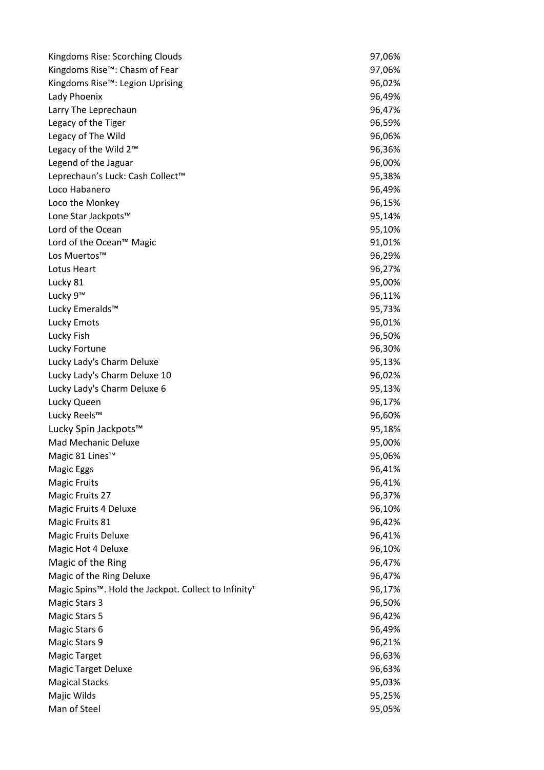| Kingdoms Rise: Scorching Clouds                                               | 97,06% |
|-------------------------------------------------------------------------------|--------|
| Kingdoms Rise™: Chasm of Fear                                                 | 97,06% |
| Kingdoms Rise™: Legion Uprising                                               | 96,02% |
| Lady Phoenix                                                                  | 96,49% |
| Larry The Leprechaun                                                          | 96,47% |
| Legacy of the Tiger                                                           | 96,59% |
| Legacy of The Wild                                                            | 96,06% |
| Legacy of the Wild 2™                                                         | 96,36% |
| Legend of the Jaguar                                                          | 96,00% |
| Leprechaun's Luck: Cash Collect™                                              | 95,38% |
| Loco Habanero                                                                 | 96,49% |
| Loco the Monkey                                                               | 96,15% |
| Lone Star Jackpots™                                                           | 95,14% |
| Lord of the Ocean                                                             | 95,10% |
| Lord of the Ocean™ Magic                                                      | 91,01% |
| Los Muertos™                                                                  | 96,29% |
| Lotus Heart                                                                   | 96,27% |
| Lucky 81                                                                      | 95,00% |
| Lucky 9™                                                                      | 96,11% |
| Lucky Emeralds™                                                               | 95,73% |
| Lucky Emots                                                                   | 96,01% |
| Lucky Fish                                                                    | 96,50% |
| Lucky Fortune                                                                 | 96,30% |
| Lucky Lady's Charm Deluxe                                                     | 95,13% |
| Lucky Lady's Charm Deluxe 10                                                  | 96,02% |
| Lucky Lady's Charm Deluxe 6                                                   | 95,13% |
| Lucky Queen                                                                   | 96,17% |
| Lucky Reels™                                                                  | 96,60% |
| Lucky Spin Jackpots™                                                          | 95,18% |
| <b>Mad Mechanic Deluxe</b>                                                    | 95,00% |
| Magic 81 Lines <sup>™</sup>                                                   | 95,06% |
| <b>Magic Eggs</b>                                                             | 96,41% |
| <b>Magic Fruits</b>                                                           | 96,41% |
| Magic Fruits 27                                                               | 96,37% |
| Magic Fruits 4 Deluxe                                                         | 96,10% |
| Magic Fruits 81                                                               | 96,42% |
| <b>Magic Fruits Deluxe</b>                                                    | 96,41% |
| Magic Hot 4 Deluxe                                                            | 96,10% |
| Magic of the Ring                                                             | 96,47% |
| Magic of the Ring Deluxe                                                      | 96,47% |
| Magic Spins <sup>™</sup> . Hold the Jackpot. Collect to Infinity <sup>™</sup> | 96,17% |
| <b>Magic Stars 3</b>                                                          | 96,50% |
| <b>Magic Stars 5</b>                                                          | 96,42% |
| Magic Stars 6                                                                 | 96,49% |
| Magic Stars 9                                                                 | 96,21% |
| <b>Magic Target</b>                                                           | 96,63% |
| <b>Magic Target Deluxe</b>                                                    | 96,63% |
| <b>Magical Stacks</b>                                                         | 95,03% |
| Majic Wilds                                                                   | 95,25% |
| Man of Steel                                                                  | 95,05% |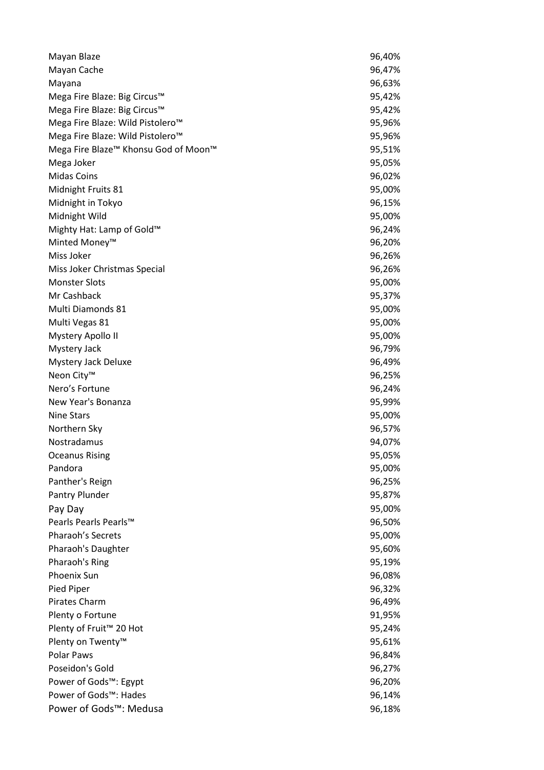| Mayan Blaze                                                  | 96,40% |
|--------------------------------------------------------------|--------|
| Mayan Cache                                                  | 96,47% |
| Mayana                                                       | 96,63% |
| Mega Fire Blaze: Big Circus™                                 | 95,42% |
| Mega Fire Blaze: Big Circus™                                 | 95,42% |
| Mega Fire Blaze: Wild Pistolero™                             | 95,96% |
| Mega Fire Blaze: Wild Pistolero™                             | 95,96% |
| Mega Fire Blaze <sup>™</sup> Khonsu God of Moon <sup>™</sup> | 95,51% |
| Mega Joker                                                   | 95,05% |
| <b>Midas Coins</b>                                           | 96,02% |
| Midnight Fruits 81                                           | 95,00% |
| Midnight in Tokyo                                            | 96,15% |
| Midnight Wild                                                | 95,00% |
| Mighty Hat: Lamp of Gold™                                    | 96,24% |
| Minted Money <sup>™</sup>                                    | 96,20% |
| Miss Joker                                                   | 96,26% |
| Miss Joker Christmas Special                                 | 96,26% |
| <b>Monster Slots</b>                                         | 95,00% |
| Mr Cashback                                                  | 95,37% |
| Multi Diamonds 81                                            | 95,00% |
| Multi Vegas 81                                               | 95,00% |
| <b>Mystery Apollo II</b>                                     | 95,00% |
| <b>Mystery Jack</b>                                          | 96,79% |
| Mystery Jack Deluxe                                          | 96,49% |
| Neon City <sup>™</sup>                                       | 96,25% |
| Nero's Fortune                                               | 96,24% |
| New Year's Bonanza                                           | 95,99% |
| <b>Nine Stars</b>                                            | 95,00% |
| Northern Sky                                                 | 96,57% |
| Nostradamus                                                  | 94,07% |
| <b>Oceanus Rising</b>                                        | 95,05% |
| Pandora                                                      | 95,00% |
| Panther's Reign                                              | 96,25% |
| Pantry Plunder                                               | 95,87% |
| Pay Day                                                      | 95,00% |
| Pearls Pearls Pearls™                                        | 96,50% |
| Pharaoh's Secrets                                            | 95,00% |
| Pharaoh's Daughter                                           | 95,60% |
| Pharaoh's Ring                                               | 95,19% |
| <b>Phoenix Sun</b>                                           | 96,08% |
| Pied Piper                                                   | 96,32% |
| Pirates Charm                                                | 96,49% |
| Plenty o Fortune                                             | 91,95% |
| Plenty of Fruit <sup>™</sup> 20 Hot                          | 95,24% |
| Plenty on Twenty <sup>™</sup>                                | 95,61% |
| Polar Paws                                                   | 96,84% |
| Poseidon's Gold                                              | 96,27% |
| Power of Gods™: Egypt                                        | 96,20% |
| Power of Gods™: Hades                                        | 96,14% |
| Power of Gods™: Medusa                                       | 96,18% |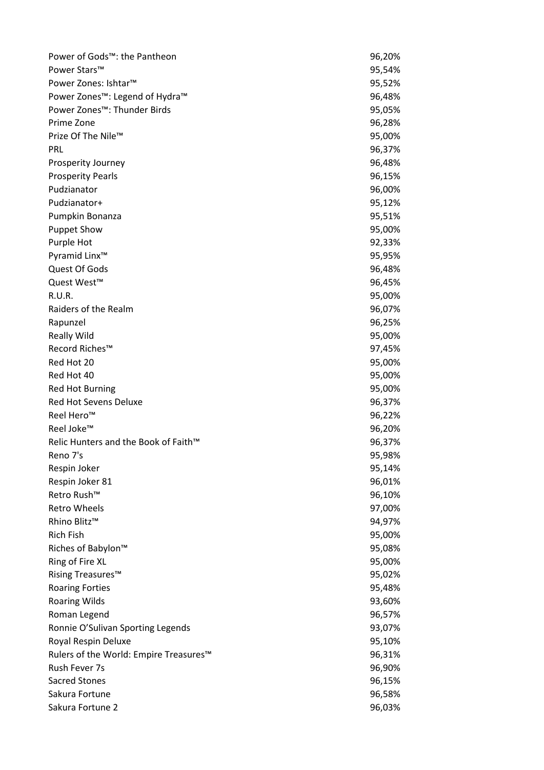| Power of Gods™: the Pantheon           | 96,20% |
|----------------------------------------|--------|
| Power Stars™                           | 95,54% |
| Power Zones: Ishtar™                   | 95,52% |
| Power Zones™: Legend of Hydra™         | 96,48% |
| Power Zones™: Thunder Birds            | 95,05% |
| Prime Zone                             | 96,28% |
| Prize Of The Nile™                     | 95,00% |
| PRL                                    | 96,37% |
| <b>Prosperity Journey</b>              | 96,48% |
| <b>Prosperity Pearls</b>               | 96,15% |
| Pudzianator                            | 96,00% |
| Pudzianator+                           | 95,12% |
| Pumpkin Bonanza                        | 95,51% |
| <b>Puppet Show</b>                     | 95,00% |
| Purple Hot                             | 92,33% |
| Pyramid Linx <sup>™</sup>              | 95,95% |
| Quest Of Gods                          | 96,48% |
| Quest West <sup>™</sup>                | 96,45% |
| R.U.R.                                 | 95,00% |
| Raiders of the Realm                   | 96,07% |
| Rapunzel                               | 96,25% |
| <b>Really Wild</b>                     | 95,00% |
| Record Riches™                         | 97,45% |
| Red Hot 20                             | 95,00% |
| Red Hot 40                             | 95,00% |
| <b>Red Hot Burning</b>                 | 95,00% |
| Red Hot Sevens Deluxe                  | 96,37% |
| Reel Hero <sup>™</sup>                 | 96,22% |
| Reel Joke™                             | 96,20% |
| Relic Hunters and the Book of Faith™   | 96,37% |
| Reno 7's                               | 95,98% |
| Respin Joker                           | 95,14% |
| Respin Joker 81                        | 96,01% |
| Retro Rush™                            | 96,10% |
| <b>Retro Wheels</b>                    | 97,00% |
| Rhino Blitz™                           | 94,97% |
| <b>Rich Fish</b>                       | 95,00% |
| Riches of Babylon™                     | 95,08% |
| Ring of Fire XL                        | 95,00% |
| Rising Treasures <sup>™</sup>          | 95,02% |
| <b>Roaring Forties</b>                 | 95,48% |
| <b>Roaring Wilds</b>                   | 93,60% |
| Roman Legend                           | 96,57% |
| Ronnie O'Sulivan Sporting Legends      | 93,07% |
| Royal Respin Deluxe                    | 95,10% |
| Rulers of the World: Empire Treasures™ | 96,31% |
| Rush Fever 7s                          | 96,90% |
| <b>Sacred Stones</b>                   | 96,15% |
| Sakura Fortune                         | 96,58% |
| Sakura Fortune 2                       | 96,03% |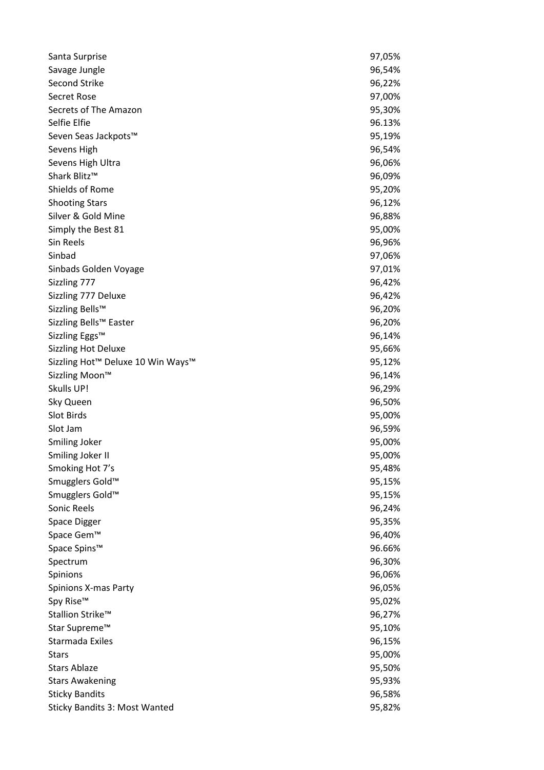| Santa Surprise                    | 97,05% |
|-----------------------------------|--------|
| Savage Jungle                     | 96,54% |
| <b>Second Strike</b>              | 96,22% |
| Secret Rose                       | 97,00% |
| Secrets of The Amazon             | 95,30% |
| Selfie Elfie                      | 96.13% |
| Seven Seas Jackpots™              | 95,19% |
| Sevens High                       | 96,54% |
| Sevens High Ultra                 | 96,06% |
| Shark Blitz™                      | 96,09% |
| Shields of Rome                   | 95,20% |
| <b>Shooting Stars</b>             | 96,12% |
| Silver & Gold Mine                | 96,88% |
| Simply the Best 81                | 95,00% |
| Sin Reels                         | 96,96% |
| Sinbad                            | 97,06% |
| Sinbads Golden Voyage             | 97,01% |
| Sizzling 777                      | 96,42% |
| Sizzling 777 Deluxe               | 96,42% |
| Sizzling Bells™                   | 96,20% |
| Sizzling Bells™ Easter            | 96,20% |
| Sizzling Eggs™                    | 96,14% |
| <b>Sizzling Hot Deluxe</b>        | 95,66% |
| Sizzling Hot™ Deluxe 10 Win Ways™ | 95,12% |
| Sizzling Moon™                    | 96,14% |
| Skulls UP!                        | 96,29% |
| Sky Queen                         | 96,50% |
| <b>Slot Birds</b>                 | 95,00% |
| Slot Jam                          | 96,59% |
| Smiling Joker                     | 95,00% |
| Smiling Joker II                  | 95,00% |
| Smoking Hot 7's                   | 95,48% |
| Smugglers Gold <sup>™</sup>       | 95,15% |
| Smugglers Gold™                   | 95,15% |
| Sonic Reels                       | 96,24% |
| <b>Space Digger</b>               | 95,35% |
| Space Gem™                        | 96,40% |
| Space Spins™                      | 96.66% |
| Spectrum                          | 96,30% |
| Spinions                          | 96,06% |
| Spinions X-mas Party              | 96,05% |
| Spy Rise™                         | 95,02% |
| Stallion Strike™                  | 96,27% |
| Star Supreme™                     | 95,10% |
| Starmada Exiles                   | 96,15% |
| Stars                             | 95,00% |
| <b>Stars Ablaze</b>               | 95,50% |
| <b>Stars Awakening</b>            | 95,93% |
| <b>Sticky Bandits</b>             | 96,58% |
| Sticky Bandits 3: Most Wanted     | 95,82% |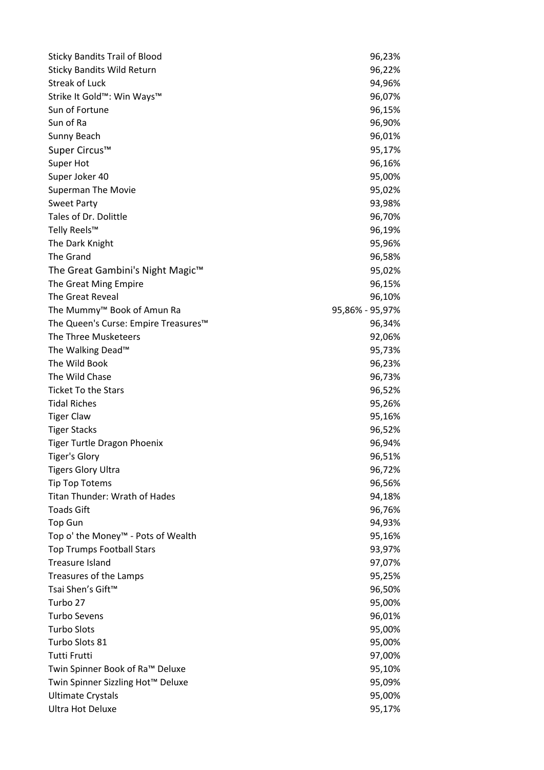| <b>Sticky Bandits Trail of Blood</b>           | 96,23%          |
|------------------------------------------------|-----------------|
| <b>Sticky Bandits Wild Return</b>              | 96,22%          |
| <b>Streak of Luck</b>                          | 94,96%          |
| Strike It Gold™: Win Ways™                     | 96,07%          |
| Sun of Fortune                                 | 96,15%          |
| Sun of Ra                                      | 96,90%          |
| Sunny Beach                                    | 96,01%          |
| Super Circus™                                  | 95,17%          |
| Super Hot                                      | 96,16%          |
| Super Joker 40                                 | 95,00%          |
| <b>Superman The Movie</b>                      | 95,02%          |
| <b>Sweet Party</b>                             | 93,98%          |
| Tales of Dr. Dolittle                          | 96,70%          |
| Telly Reels™                                   | 96,19%          |
| The Dark Knight                                | 95,96%          |
| The Grand                                      | 96,58%          |
| The Great Gambini's Night Magic <sup>™</sup>   | 95,02%          |
| The Great Ming Empire                          | 96,15%          |
| The Great Reveal                               | 96,10%          |
| The Mummy <sup>™</sup> Book of Amun Ra         | 95,86% - 95,97% |
| The Queen's Curse: Empire Treasures™           | 96,34%          |
| The Three Musketeers                           | 92,06%          |
| The Walking Dead <sup>™</sup>                  | 95,73%          |
| The Wild Book                                  | 96,23%          |
| The Wild Chase                                 | 96,73%          |
| <b>Ticket To the Stars</b>                     | 96,52%          |
| <b>Tidal Riches</b>                            | 95,26%          |
| <b>Tiger Claw</b>                              | 95,16%          |
| <b>Tiger Stacks</b>                            | 96,52%          |
| <b>Tiger Turtle Dragon Phoenix</b>             | 96,94%          |
| <b>Tiger's Glory</b>                           | 96,51%          |
| <b>Tigers Glory Ultra</b>                      | 96,72%          |
| <b>Tip Top Totems</b>                          | 96,56%          |
| <b>Titan Thunder: Wrath of Hades</b>           | 94,18%          |
| <b>Toads Gift</b>                              | 96,76%          |
| <b>Top Gun</b>                                 | 94,93%          |
| Top o' the Money <sup>™</sup> - Pots of Wealth | 95,16%          |
| <b>Top Trumps Football Stars</b>               | 93,97%          |
| <b>Treasure Island</b>                         | 97,07%          |
| Treasures of the Lamps                         | 95,25%          |
| Tsai Shen's Gift™                              | 96,50%          |
| Turbo 27                                       | 95,00%          |
| <b>Turbo Sevens</b>                            | 96,01%          |
| <b>Turbo Slots</b>                             | 95,00%          |
| Turbo Slots 81                                 | 95,00%          |
| Tutti Frutti                                   | 97,00%          |
| Twin Spinner Book of Ra™ Deluxe                | 95,10%          |
| Twin Spinner Sizzling Hot™ Deluxe              | 95,09%          |
| <b>Ultimate Crystals</b>                       | 95,00%          |
| Ultra Hot Deluxe                               | 95,17%          |